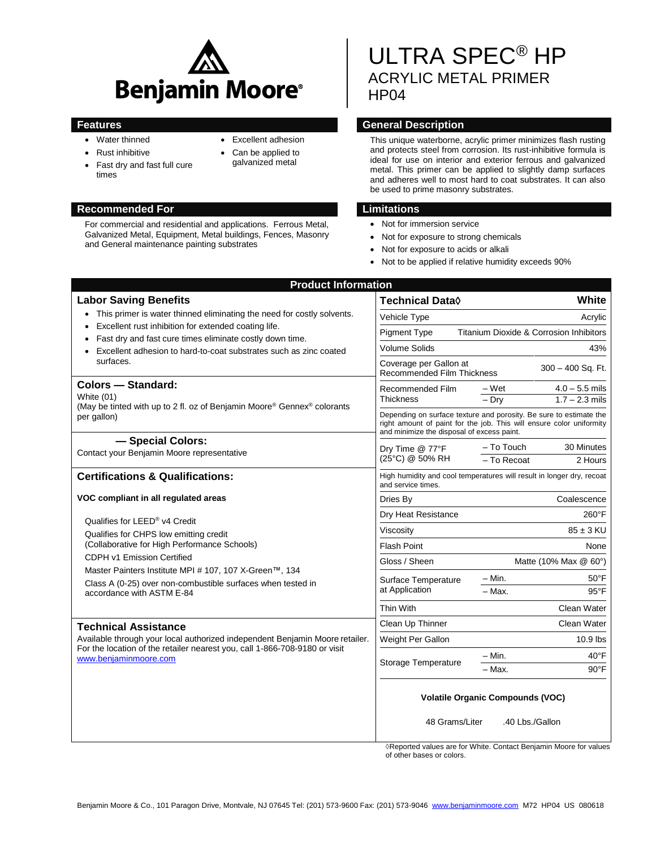

- Water thinned
- Rust inhibitive
- Fast dry and fast full cure times
- Excellent adhesion
- Can be applied to galvanized metal
- 

For commercial and residential and applications. Ferrous Metal, Galvanized Metal, Equipment, Metal buildings, Fences, Masonry and General maintenance painting substrates

ULTRA SPEC® HP ACRYLIC METAL PRIMER HP<sub>04</sub>

## **Features General Description**

This unique waterborne, acrylic primer minimizes flash rusting and protects steel from corrosion. Its rust-inhibitive formula is ideal for use on interior and exterior ferrous and galvanized metal. This primer can be applied to slightly damp surfaces and adheres well to most hard to coat substrates. It can also be used to prime masonry substrates.

## **Recommended For Limitations**

- Not for immersion service
- Not for exposure to strong chemicals
- Not for exposure to acids or alkali
- Not to be applied if relative humidity exceeds 90%

| <b>Product Information</b>                                                                                                                                                                                         |                                                                                                                                                                                          |                       |                  |
|--------------------------------------------------------------------------------------------------------------------------------------------------------------------------------------------------------------------|------------------------------------------------------------------------------------------------------------------------------------------------------------------------------------------|-----------------------|------------------|
| <b>Labor Saving Benefits</b>                                                                                                                                                                                       | Technical Data◊                                                                                                                                                                          |                       | White            |
| This primer is water thinned eliminating the need for costly solvents.<br>$\bullet$                                                                                                                                | Acrylic<br>Vehicle Type                                                                                                                                                                  |                       |                  |
| Excellent rust inhibition for extended coating life.<br>Fast dry and fast cure times eliminate costly down time.<br>Excellent adhesion to hard-to-coat substrates such as zinc coated<br>surfaces.                 | Titanium Dioxide & Corrosion Inhibitors<br><b>Pigment Type</b>                                                                                                                           |                       |                  |
|                                                                                                                                                                                                                    | <b>Volume Solids</b><br>43%                                                                                                                                                              |                       |                  |
|                                                                                                                                                                                                                    | Coverage per Gallon at<br>300 - 400 Sq. Ft.<br><b>Recommended Film Thickness</b>                                                                                                         |                       |                  |
| <b>Colors - Standard:</b><br>White (01)<br>(May be tinted with up to 2 fl. oz of Benjamin Moore® Gennex® colorants<br>per gallon)                                                                                  | Recommended Film<br><b>Thickness</b>                                                                                                                                                     | – Wet                 | $4.0 - 5.5$ mils |
|                                                                                                                                                                                                                    |                                                                                                                                                                                          | $-$ Dry               | $1.7 - 2.3$ mils |
|                                                                                                                                                                                                                    | Depending on surface texture and porosity. Be sure to estimate the<br>right amount of paint for the job. This will ensure color uniformity<br>and minimize the disposal of excess paint. |                       |                  |
| - Special Colors:<br>Contact your Benjamin Moore representative                                                                                                                                                    | Dry Time @ 77°F<br>(25°C) @ 50% RH                                                                                                                                                       | - To Touch            | 30 Minutes       |
|                                                                                                                                                                                                                    |                                                                                                                                                                                          | - To Recoat           | 2 Hours          |
| <b>Certifications &amp; Qualifications:</b>                                                                                                                                                                        | High humidity and cool temperatures will result in longer dry, recoat<br>and service times.                                                                                              |                       |                  |
| VOC compliant in all regulated areas<br>Qualifies for LEED <sup>®</sup> v4 Credit<br>Qualifies for CHPS low emitting credit<br>(Collaborative for High Performance Schools)                                        | Dries By                                                                                                                                                                                 |                       | Coalescence      |
|                                                                                                                                                                                                                    | Dry Heat Resistance                                                                                                                                                                      | 260°F                 |                  |
|                                                                                                                                                                                                                    | Viscosity                                                                                                                                                                                | $85 \pm 3$ KU         |                  |
|                                                                                                                                                                                                                    | <b>Flash Point</b>                                                                                                                                                                       | None                  |                  |
| CDPH v1 Emission Certified                                                                                                                                                                                         | Gloss / Sheen                                                                                                                                                                            | Matte (10% Max @ 60°) |                  |
| Master Painters Institute MPI # 107, 107 X-Green™, 134                                                                                                                                                             |                                                                                                                                                                                          | $-$ Min.              | $50^{\circ}$ F   |
| Class A (0-25) over non-combustible surfaces when tested in<br>accordance with ASTM E-84                                                                                                                           | Surface Temperature<br>at Application                                                                                                                                                    | $-$ Max.              | $95^{\circ}$ F   |
|                                                                                                                                                                                                                    | Thin With                                                                                                                                                                                |                       | Clean Water      |
|                                                                                                                                                                                                                    |                                                                                                                                                                                          | Clean Water           |                  |
| <b>Technical Assistance</b><br>Available through your local authorized independent Benjamin Moore retailer.<br>For the location of the retailer nearest you, call 1-866-708-9180 or visit<br>www.benjaminmoore.com | Clean Up Thinner                                                                                                                                                                         |                       |                  |
|                                                                                                                                                                                                                    | Weight Per Gallon                                                                                                                                                                        |                       | 10.9 lbs         |
|                                                                                                                                                                                                                    | Storage Temperature                                                                                                                                                                      | - Min.                | $40^{\circ}$ F   |
|                                                                                                                                                                                                                    |                                                                                                                                                                                          | - Max.                | $90^{\circ}$ F   |
|                                                                                                                                                                                                                    | <b>Volatile Organic Compounds (VOC)</b><br>.40 Lbs./Gallon<br>48 Grams/Liter                                                                                                             |                       |                  |
|                                                                                                                                                                                                                    |                                                                                                                                                                                          |                       |                  |

◊Reported values are for White. Contact Benjamin Moore for values of other bases or colors.